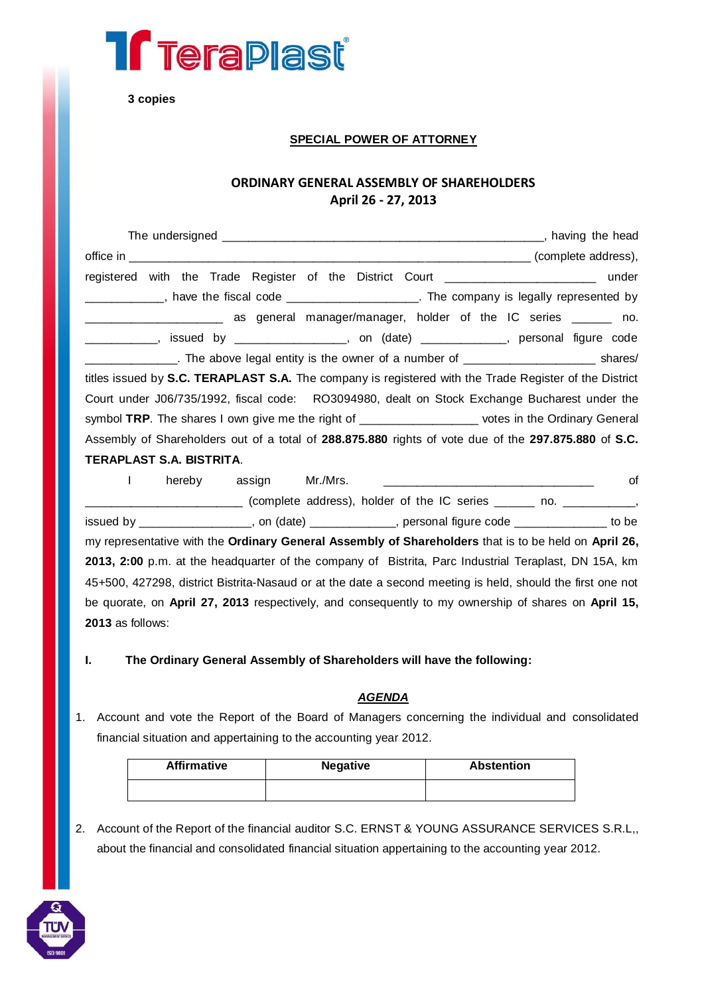

**3 copies**

## **SPECIAL POWER OF ATTORNEY**

## **ORDINARY GENERAL ASSEMBLY OF SHAREHOLDERS April 26 - 27, 2013**

| registered with the Trade Register of the District Court ________________________ under                 |
|---------------------------------------------------------------------------------------------------------|
| _____________, have the fiscal code ______________________. The company is legally represented by       |
| _______________________ as general manager/manager, holder of the IC series ______ no.                  |
| ____________, issued by _________________, on (date) ____________, personal figure code                 |
| _______________. The above legal entity is the owner of a number of ___________________________ shares/ |
| titles issued by S.C. TERAPLAST S.A. The company is registered with the Trade Register of the District  |
| Court under J06/735/1992, fiscal code: RO3094980, dealt on Stock Exchange Bucharest under the           |
| symbol TRP. The shares I own give me the right of ____________________ votes in the Ordinary General    |
| Assembly of Shareholders out of a total of 288.875.880 rights of vote due of the 297.875.880 of S.C.    |
| TERAPLAST S.A. BISTRITA.                                                                                |

I hereby assign Mr./Mrs. \_\_\_\_\_\_\_\_\_\_\_\_\_\_\_\_\_\_\_\_\_\_\_\_\_\_\_\_\_\_\_\_ of  $\Box$  (complete address), holder of the IC series  $\Box$  no.  $\Box$ issued by \_\_\_\_\_\_\_\_\_\_\_\_\_\_\_\_\_, on (date) \_\_\_\_\_\_\_\_\_\_\_\_\_, personal figure code \_\_\_\_\_\_\_\_\_\_\_\_\_\_ to be my representative with the **Ordinary General Assembly of Shareholders** that is to be held on **April 26, 2013, 2:00** p.m. at the headquarter of the company of Bistrita, Parc Industrial Teraplast, DN 15A, km 45+500, 427298, district Bistrita-Nasaud or at the date a second meeting is held, should the first one not be quorate, on **April 27, 2013** respectively, and consequently to my ownership of shares on **April 15, 2013** as follows:

**I. The Ordinary General Assembly of Shareholders will have the following:**

## *AGENDA*

1. Account and vote the Report of the Board of Managers concerning the individual and consolidated financial situation and appertaining to the accounting year 2012.

| <b>Affirmative</b> | <b>Negative</b> | <b>Abstention</b> |
|--------------------|-----------------|-------------------|
|                    |                 |                   |

2. Account of the Report of the financial auditor S.C. ERNST & YOUNG ASSURANCE SERVICES S.R.L,, about the financial and consolidated financial situation appertaining to the accounting year 2012.

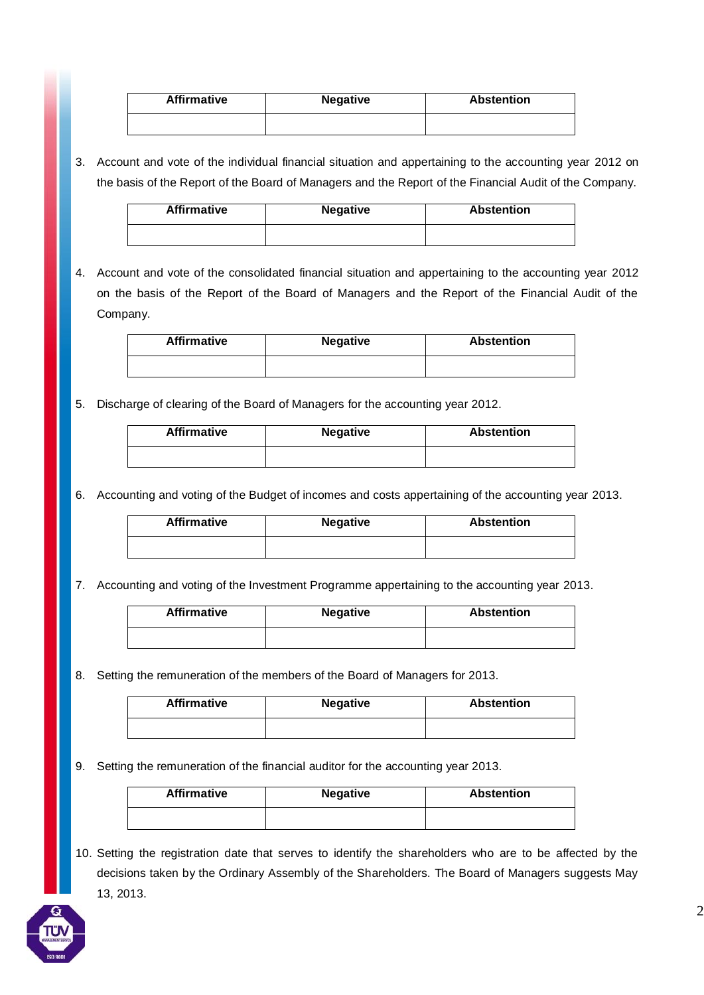| <b>Affirmative</b> | <b>Negative</b> | <b>Abstention</b> |
|--------------------|-----------------|-------------------|
|                    |                 |                   |
|                    |                 |                   |

3. Account and vote of the individual financial situation and appertaining to the accounting year 2012 on the basis of the Report of the Board of Managers and the Report of the Financial Audit of the Company.

| <b>Affirmative</b> | <b>Negative</b> | <b>Abstention</b> |
|--------------------|-----------------|-------------------|
|                    |                 |                   |

4. Account and vote of the consolidated financial situation and appertaining to the accounting year 2012 on the basis of the Report of the Board of Managers and the Report of the Financial Audit of the Company.

| <b>Affirmative</b> | <b>Negative</b> | <b>Abstention</b> |
|--------------------|-----------------|-------------------|
|                    |                 |                   |

5. Discharge of clearing of the Board of Managers for the accounting year 2012.

| <b>Affirmative</b> | <b>Negative</b> | <b>Abstention</b> |
|--------------------|-----------------|-------------------|
|                    |                 |                   |

6. Accounting and voting of the Budget of incomes and costs appertaining of the accounting year 2013.

| <b>Affirmative</b> | <b>Negative</b> | <b>Abstention</b> |
|--------------------|-----------------|-------------------|
|                    |                 |                   |

7. Accounting and voting of the Investment Programme appertaining to the accounting year 2013.

| <b>Affirmative</b> | <b>Negative</b> | <b>Abstention</b> |
|--------------------|-----------------|-------------------|
|                    |                 |                   |

8. Setting the remuneration of the members of the Board of Managers for 2013.

| <b>Affirmative</b> | <b>Negative</b> | <b>Abstention</b> |
|--------------------|-----------------|-------------------|
|                    |                 |                   |

9. Setting the remuneration of the financial auditor for the accounting year 2013.

| <b>Affirmative</b> | <b>Negative</b> | <b>Abstention</b> |
|--------------------|-----------------|-------------------|
|                    |                 |                   |

10. Setting the registration date that serves to identify the shareholders who are to be affected by the decisions taken by the Ordinary Assembly of the Shareholders. The Board of Managers suggests May 13, 2013.